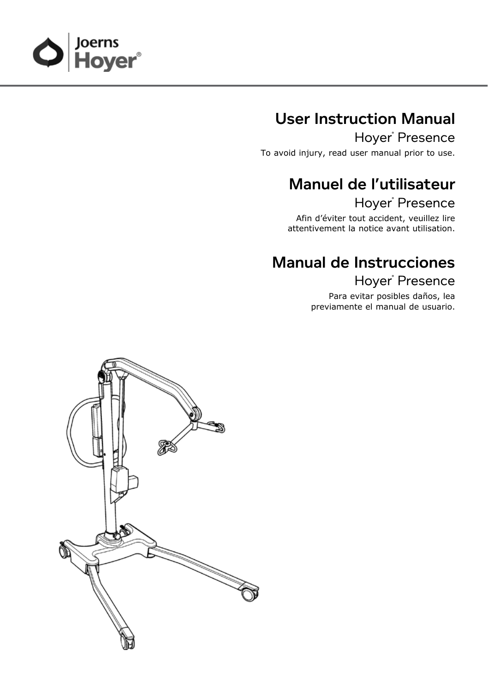

# User Instruction Manual

Hoyer<sup>®</sup> Presence

To avoid injury, read user manual prior to use.

# Manuel de l'utilisateur Hoyer<sup>®</sup> Presence

Afin d'éviter tout accident, veuillez lire attentivement la notice avant utilisation.

# Manual de Instrucciones

Hoyer<sup>®</sup> Presence

Para evitar posibles daños, lea previamente el manual de usuario.

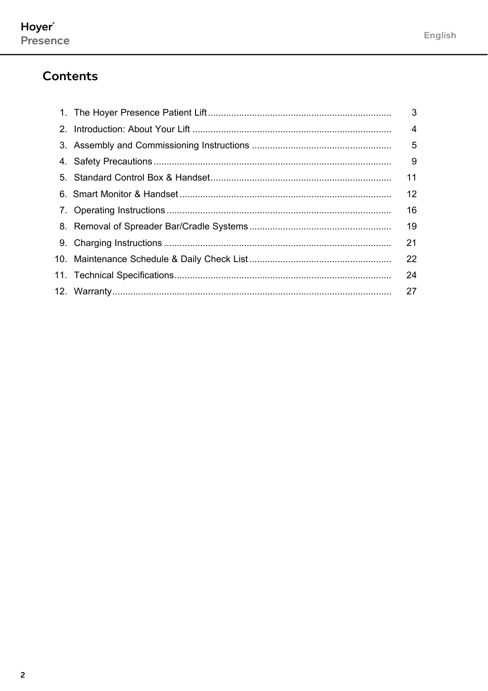### **Contents**

|  | 3  |
|--|----|
|  | 4  |
|  | 5  |
|  | 9  |
|  | 11 |
|  | 12 |
|  | 16 |
|  | 19 |
|  | 21 |
|  | 22 |
|  | 24 |
|  | 27 |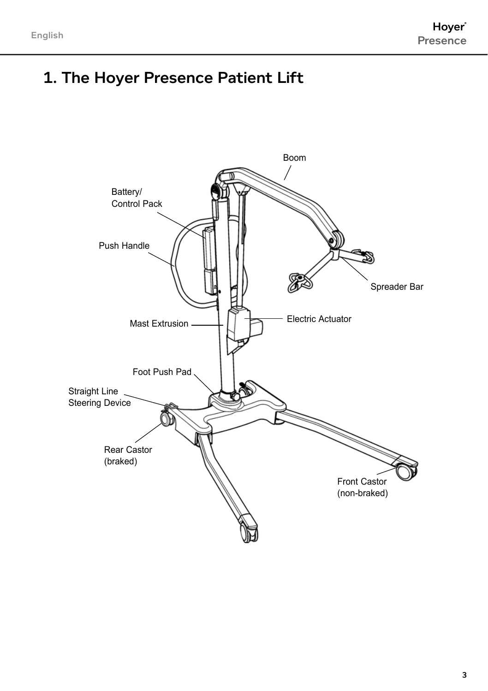# 1. The Hoyer Presence Patient Lift

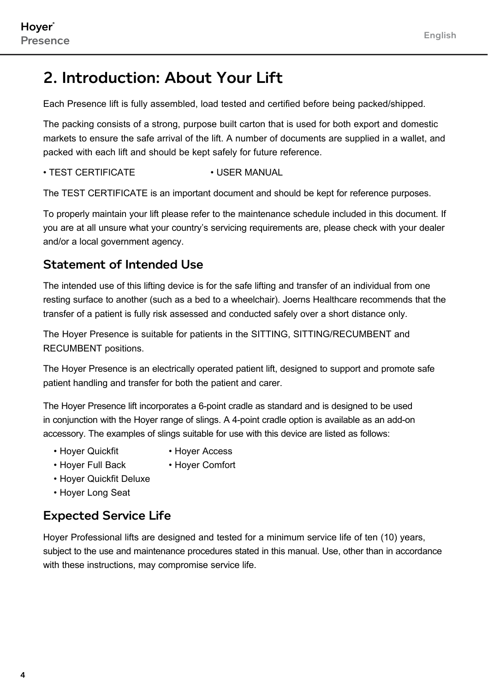# 2. Introduction: About Your Lift

Each Presence lift is fully assembled, load tested and certified before being packed/shipped.

The packing consists of a strong, purpose built carton that is used for both export and domestic markets to ensure the safe arrival of the lift. A number of documents are supplied in a wallet, and packed with each lift and should be kept safely for future reference.

#### • TEST CERTIFICATE • USER MANUAL

The TEST CERTIFICATE is an important document and should be kept for reference purposes.

To properly maintain your lift please refer to the maintenance schedule included in this document. If you are at all unsure what your country's servicing requirements are, please check with your dealer and/or a local government agency.

### Statement of Intended Use

The intended use of this lifting device is for the safe lifting and transfer of an individual from one resting surface to another (such as a bed to a wheelchair). Joerns Healthcare recommends that the transfer of a patient is fully risk assessed and conducted safely over a short distance only.

The Hoyer Presence is suitable for patients in the SITTING, SITTING/RECUMBENT and RECUMBENT positions.

The Hoyer Presence is an electrically operated patient lift, designed to support and promote safe patient handling and transfer for both the patient and carer.

The Hoyer Presence lift incorporates a 6-point cradle as standard and is designed to be used in conjunction with the Hoyer range of slings. A 4-point cradle option is available as an add-on accessory. The examples of slings suitable for use with this device are listed as follows:

- 
- Hover Quickfit Hover Access
- Hoyer Full Back Hoyer Comfort
	-
- Hoyer Quickfit Deluxe
- Hoyer Long Seat

### Expected Service Life

Hoyer Professional lifts are designed and tested for a minimum service life of ten (10) years, subject to the use and maintenance procedures stated in this manual. Use, other than in accordance with these instructions, may compromise service life.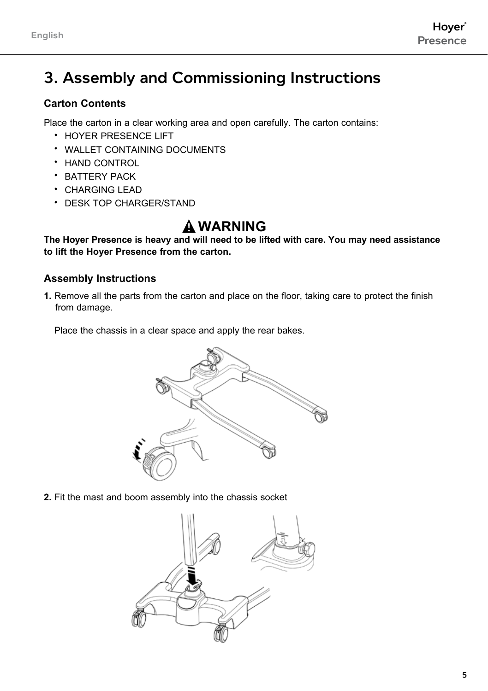# 3. Assembly and Commissioning Instructions

### **Carton Contents**

Place the carton in a clear working area and open carefully. The carton contains:

- HOYER PRESENCE LIFT
- WALLET CONTAINING DOCUMENTS
- HAND CONTROL
- BATTERY PACK
- CHARGING LEAD
- DESK TOP CHARGER/STAND

### **Warning**

**The Hoyer Presence is heavy and will need to be lifted with care. You may need assistance to lift the Hoyer Presence from the carton.**

### **Assembly Instructions**

**1.** Remove all the parts from the carton and place on the floor, taking care to protect the finish from damage.

Place the chassis in a clear space and apply the rear bakes.



**2.** Fit the mast and boom assembly into the chassis socket

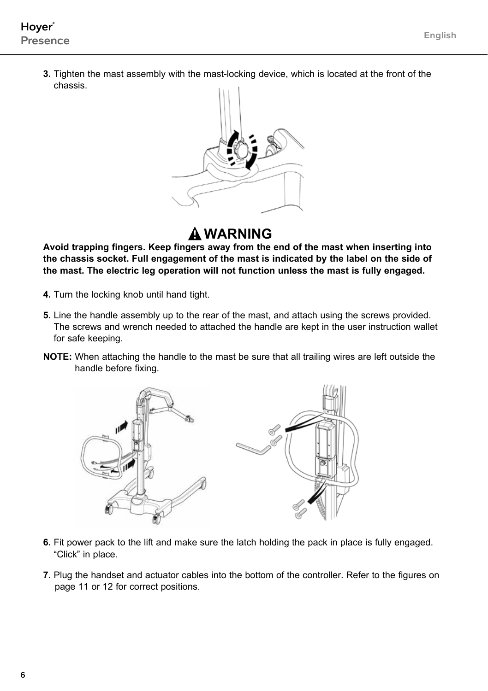**3.** Tighten the mast assembly with the mast-locking device, which is located at the front of the chassis.



# **Warning**

 **Avoid trapping fingers. Keep fingers away from the end of the mast when inserting into the chassis socket. Full engagement of the mast is indicated by the label on the side of the mast. The electric leg operation will not function unless the mast is fully engaged.**

- **4.** Turn the locking knob until hand tight.
- **5.** Line the handle assembly up to the rear of the mast, and attach using the screws provided. The screws and wrench needed to attached the handle are kept in the user instruction wallet for safe keeping.
- **NOTE:** When attaching the handle to the mast be sure that all trailing wires are left outside the handle before fixing.



- **6.** Fit power pack to the lift and make sure the latch holding the pack in place is fully engaged. "Click" in place.
- **7.** Plug the handset and actuator cables into the bottom of the controller. Refer to the figures on page 11 or 12 for correct positions.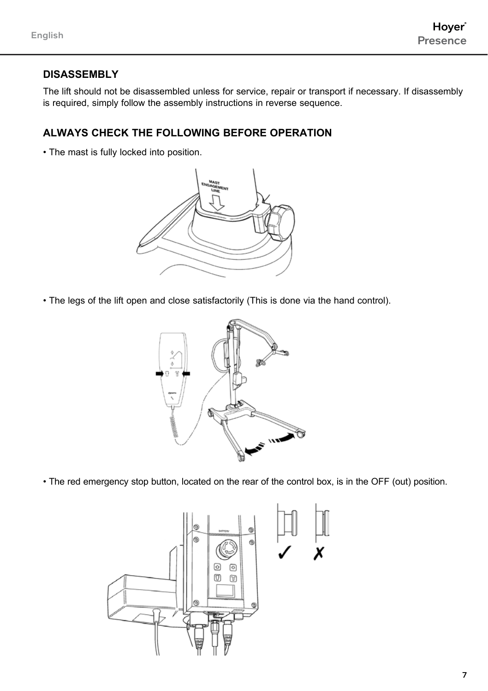### **Disassembly**

The lift should not be disassembled unless for service, repair or transport if necessary. If disassembly is required, simply follow the assembly instructions in reverse sequence.

### **ALWAYS CHECK THE FOLLOWING BEFORE OPERATION**

• The mast is fully locked into position.



• The legs of the lift open and close satisfactorily (This is done via the hand control).



• The red emergency stop button, located on the rear of the control box, is in the OFF (out) position.

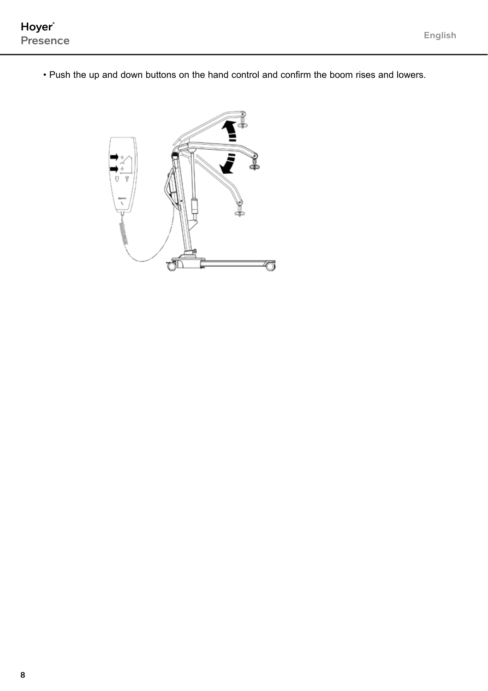• Push the up and down buttons on the hand control and confirm the boom rises and lowers.

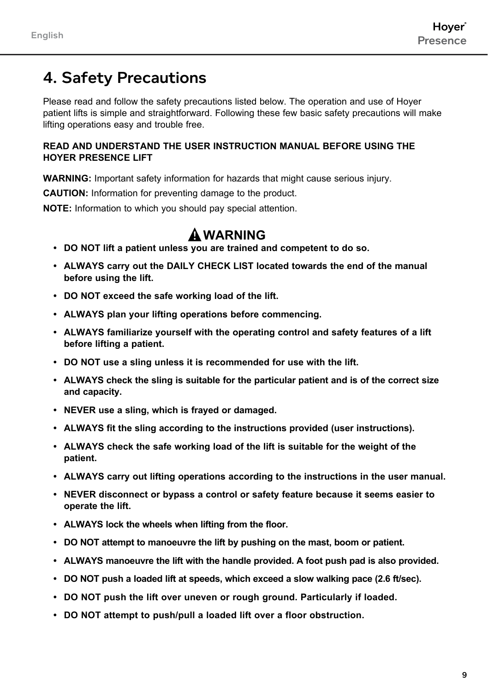# 4. Safety Precautions

Please read and follow the safety precautions listed below. The operation and use of Hoyer patient lifts is simple and straightforward. Following these few basic safety precautions will make lifting operations easy and trouble free.

#### **READ AND UNDERSTAND THE USER INSTRUCTION MANUAL BEFORE USING THE HOYER PRESENCE LIFT**

**WARNING:** Important safety information for hazards that might cause serious injury.

**CAUTION:** Information for preventing damage to the product.

**NOTE:** Information to which you should pay special attention.

### **WARNING**

- **• DO NOT lift a patient unless you are trained and competent to do so.**
- **• ALWAYS carry out the DAILY CHECK LIST located towards the end of the manual before using the lift.**
- **• DO NOT exceed the safe working load of the lift.**
- **ALWAYS plan your lifting operations before commencing.**
- **ALWAYS familiarize yourself with the operating control and safety features of a lift before lifting a patient.**
- **• DO NOT use a sling unless it is recommended for use with the lift.**
- **ALWAYS check the sling is suitable for the particular patient and is of the correct size and capacity.**
- **NEVER use a sling, which is frayed or damaged.**
- **ALWAYS fit the sling according to the instructions provided (user instructions).**
- **ALWAYS check the safe working load of the lift is suitable for the weight of the patient.**
- **ALWAYS carry out lifting operations according to the instructions in the user manual.**
- **NEVER disconnect or bypass a control or safety feature because it seems easier to operate the lift.**
- **• ALWAYS lock the wheels when lifting from the floor.**
- **• DO NOT attempt to manoeuvre the lift by pushing on the mast, boom or patient.**
- **• ALWAYS manoeuvre the lift with the handle provided. A foot push pad is also provided.**
- **• DO NOT push a loaded lift at speeds, which exceed a slow walking pace (2.6 ft/sec).**
- **• DO NOT push the lift over uneven or rough ground. Particularly if loaded.**
- **• DO NOT attempt to push/pull a loaded lift over a floor obstruction.**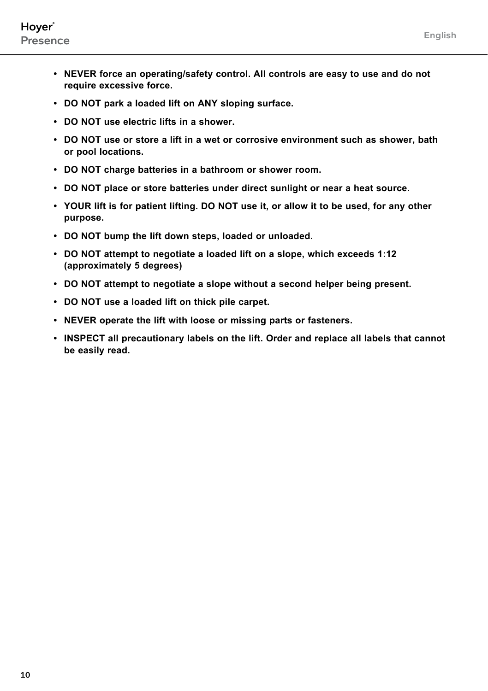- **• NEVER force an operating/safety control. All controls are easy to use and do not require excessive force.**
- **• DO NOT park a loaded lift on ANY sloping surface.**
- **• DO NOT use electric lifts in a shower.**
- **• DO NOT use or store a lift in a wet or corrosive environment such as shower, bath or pool locations.**
- **• DO NOT charge batteries in a bathroom or shower room.**
- **• DO NOT place or store batteries under direct sunlight or near a heat source.**
- **• YOUR lift is for patient lifting. DO NOT use it, or allow it to be used, for any other purpose.**
- **• DO NOT bump the lift down steps, loaded or unloaded.**
- **• DO NOT attempt to negotiate a loaded lift on a slope, which exceeds 1:12 (approximately 5 degrees)**
- **• DO NOT attempt to negotiate a slope without a second helper being present.**
- **• DO NOT use a loaded lift on thick pile carpet.**
- **• NEVER operate the lift with loose or missing parts or fasteners.**
- **• INSPECT all precautionary labels on the lift. Order and replace all labels that cannot be easily read.**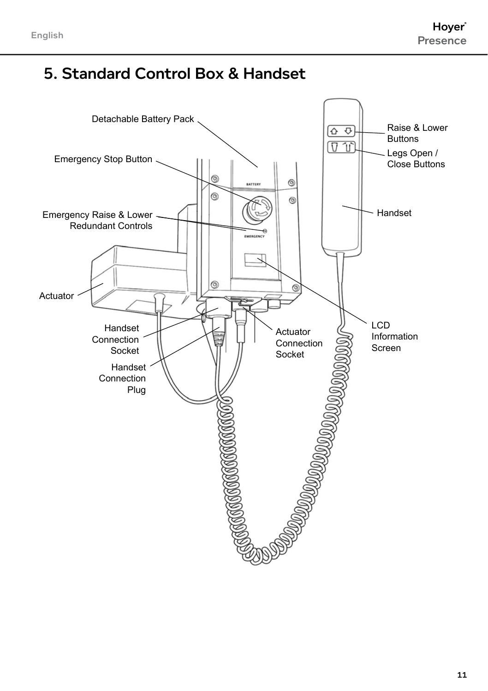# 5. Standard Control Box & Handset

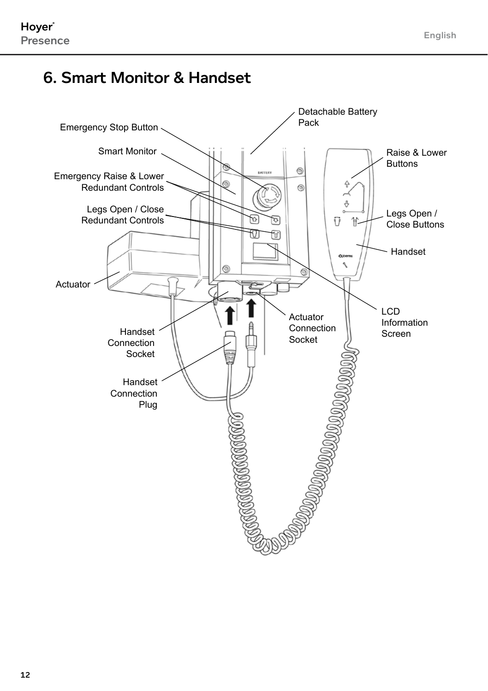# 6. Smart Monitor & Handset

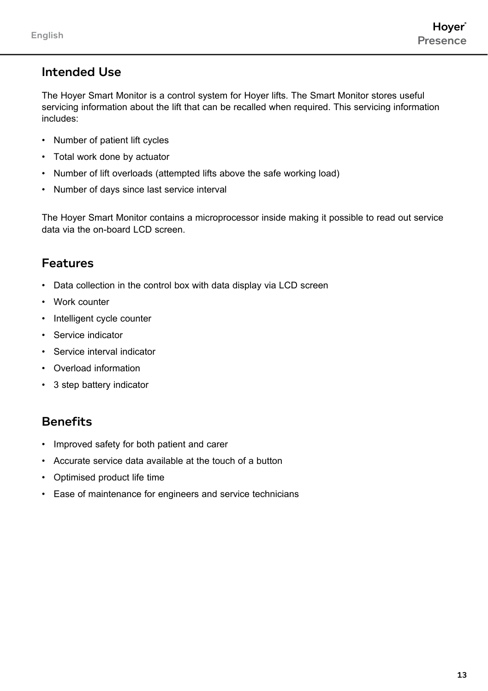### Intended Use

The Hoyer Smart Monitor is a control system for Hoyer lifts. The Smart Monitor stores useful servicing information about the lift that can be recalled when required. This servicing information includes:

- Number of patient lift cycles
- Total work done by actuator
- Number of lift overloads (attempted lifts above the safe working load)
- Number of days since last service interval

The Hoyer Smart Monitor contains a microprocessor inside making it possible to read out service data via the on-board LCD screen.

### Features

- Data collection in the control box with data display via LCD screen
- Work counter
- Intelligent cycle counter
- Service indicator
- Service interval indicator
- Overload information
- 3 step battery indicator

### **Benefits**

- Improved safety for both patient and carer
- Accurate service data available at the touch of a button
- Optimised product life time
- Ease of maintenance for engineers and service technicians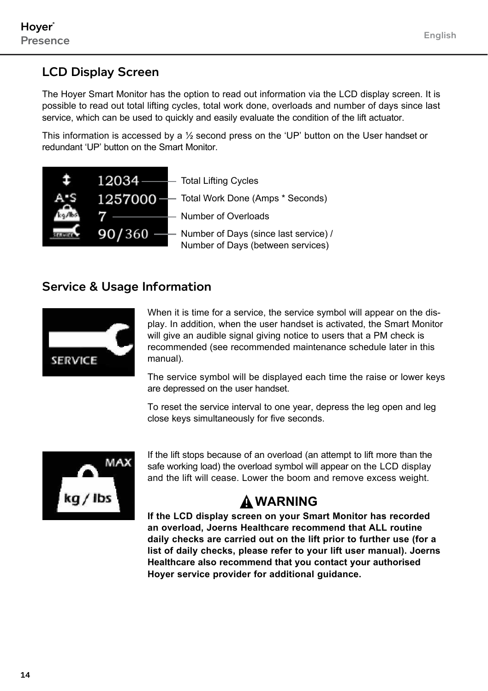### LCD Display Screen

The Hoyer Smart Monitor has the option to read out information via the LCD display screen. It is possible to read out total lifting cycles, total work done, overloads and number of days since last service, which can be used to quickly and easily evaluate the condition of the lift actuator.

This information is accessed by a ½ second press on the 'UP' button on the User handset or redundant 'UP' button on the Smart Monitor.



### Service & Usage Information



When it is time for a service, the service symbol will appear on the display. In addition, when the user handset is activated, the Smart Monitor will give an audible signal giving notice to users that a PM check is recommended (see recommended maintenance schedule later in this manual).

The service symbol will be displayed each time the raise or lower keys are depressed on the user handset.

To reset the service interval to one year, depress the leg open and leg close keys simultaneously for five seconds.



If the lift stops because of an overload (an attempt to lift more than the safe working load) the overload symbol will appear on the LCD display and the lift will cease. Lower the boom and remove excess weight.

# **WARNING**

**If the LCD display screen on your Smart Monitor has recorded an overload, Joerns Healthcare recommend that ALL routine daily checks are carried out on the lift prior to further use (for a list of daily checks, please refer to your lift user manual). Joerns Healthcare also recommend that you contact your authorised Hoyer service provider for additional guidance.**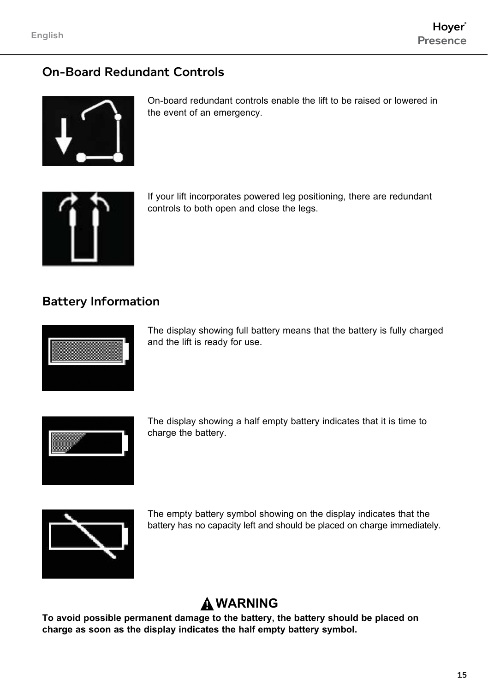### On-Board Redundant Controls



On-board redundant controls enable the lift to be raised or lowered in the event of an emergency.



If your lift incorporates powered leg positioning, there are redundant controls to both open and close the legs.

### Battery Information



The display showing full battery means that the battery is fully charged and the lift is ready for use.



The display showing a half empty battery indicates that it is time to charge the battery.



The empty battery symbol showing on the display indicates that the battery has no capacity left and should be placed on charge immediately.

### **WARNING**

**To avoid possible permanent damage to the battery, the battery should be placed on charge as soon as the display indicates the half empty battery symbol.**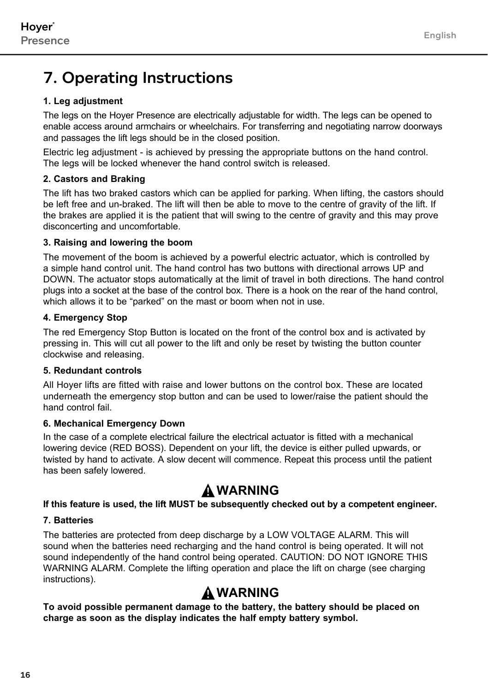# 7. Operating Instructions

#### **1. Leg adjustment**

The legs on the Hoyer Presence are electrically adjustable for width. The legs can be opened to enable access around armchairs or wheelchairs. For transferring and negotiating narrow doorways and passages the lift legs should be in the closed position.

Electric leg adjustment - is achieved by pressing the appropriate buttons on the hand control. The legs will be locked whenever the hand control switch is released.

#### **2. Castors and Braking**

The lift has two braked castors which can be applied for parking. When lifting, the castors should be left free and un-braked. The lift will then be able to move to the centre of gravity of the lift. If the brakes are applied it is the patient that will swing to the centre of gravity and this may prove disconcerting and uncomfortable.

#### **3. Raising and lowering the boom**

The movement of the boom is achieved by a powerful electric actuator, which is controlled by a simple hand control unit. The hand control has two buttons with directional arrows UP and DOWN. The actuator stops automatically at the limit of travel in both directions. The hand control plugs into a socket at the base of the control box. There is a hook on the rear of the hand control, which allows it to be "parked" on the mast or boom when not in use.

#### **4. Emergency Stop**

The red Emergency Stop Button is located on the front of the control box and is activated by pressing in. This will cut all power to the lift and only be reset by twisting the button counter clockwise and releasing.

#### **5. Redundant controls**

All Hoyer lifts are fitted with raise and lower buttons on the control box. These are located underneath the emergency stop button and can be used to lower/raise the patient should the hand control fail.

#### **6. Mechanical Emergency Down**

In the case of a complete electrical failure the electrical actuator is fitted with a mechanical lowering device (RED BOSS). Dependent on your lift, the device is either pulled upwards, or twisted by hand to activate. A slow decent will commence. Repeat this process until the patient has been safely lowered.

### **WARNING**

#### **If this feature is used, the lift MUST be subsequently checked out by a competent engineer.**

#### **7. Batteries**

The batteries are protected from deep discharge by a LOW VOLTAGE ALARM. This will sound when the batteries need recharging and the hand control is being operated. It will not sound independently of the hand control being operated. CAUTION: DO NOT IGNORE THIS WARNING ALARM. Complete the lifting operation and place the lift on charge (see charging instructions).

# **WARNING**

**To avoid possible permanent damage to the battery, the battery should be placed on charge as soon as the display indicates the half empty battery symbol.**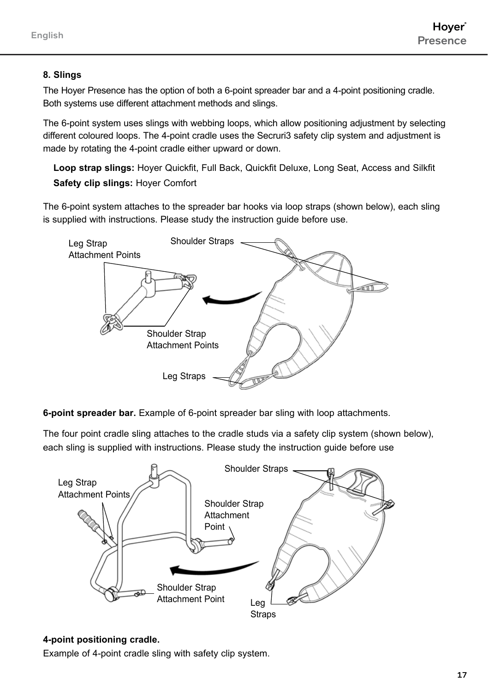#### **8. Slings**

The Hoyer Presence has the option of both a 6-point spreader bar and a 4-point positioning cradle. Both systems use different attachment methods and slings.

The 6-point system uses slings with webbing loops, which allow positioning adjustment by selecting different coloured loops. The 4-point cradle uses the Secruri3 safety clip system and adjustment is made by rotating the 4-point cradle either upward or down.

**Loop strap slings:** Hoyer Quickfit, Full Back, Quickfit Deluxe, Long Seat, Access and Silkfit **Safety clip slings:** Hoyer Comfort

The 6-point system attaches to the spreader bar hooks via loop straps (shown below), each sling is supplied with instructions. Please study the instruction guide before use.



**6-point spreader bar.** Example of 6-point spreader bar sling with loop attachments.

The four point cradle sling attaches to the cradle studs via a safety clip system (shown below), each sling is supplied with instructions. Please study the instruction guide before use



#### **4-point positioning cradle.**

Example of 4-point cradle sling with safety clip system.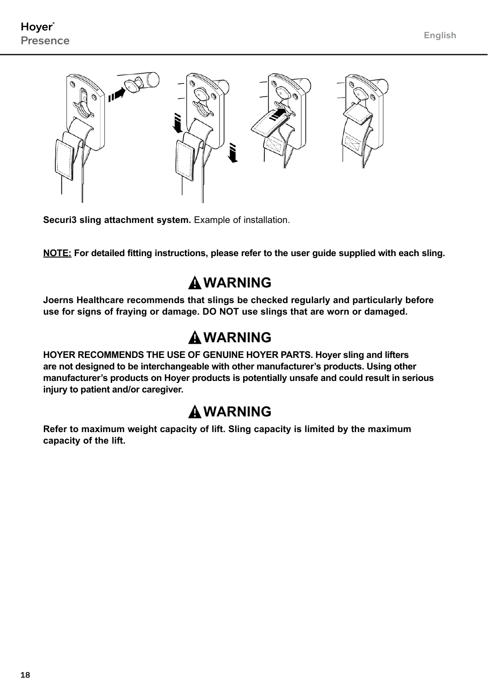

**Securi3 sling attachment system.** Example of installation.

**NOTE: For detailed fitting instructions, please refer to the user guide supplied with each sling.**

# **WARNING**

**Joerns Healthcare recommends that slings be checked regularly and particularly before use for signs of fraying or damage. DO NOT use slings that are worn or damaged.**

# **WARNING**

**HOYER RECOMMENDS THE USE OF GENUINE HOYER PARTS. Hoyer sling and lifters are not designed to be interchangeable with other manufacturer's products. Using other manufacturer's products on Hoyer products is potentially unsafe and could result in serious injury to patient and/or caregiver.**

# **WARNING**

**Refer to maximum weight capacity of lift. Sling capacity is limited by the maximum capacity of the lift.**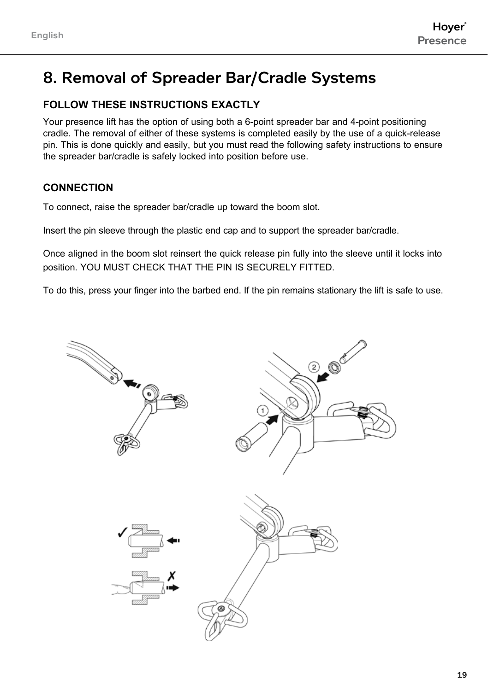# 8. Removal of Spreader Bar/Cradle Systems

### **FOLLOW THESE INSTRuCTIONS EXACTLY**

Your presence lift has the option of using both a 6-point spreader bar and 4-point positioning cradle. The removal of either of these systems is completed easily by the use of a quick-release pin. This is done quickly and easily, but you must read the following safety instructions to ensure the spreader bar/cradle is safely locked into position before use.

### **Connection**

To connect, raise the spreader bar/cradle up toward the boom slot.

Insert the pin sleeve through the plastic end cap and to support the spreader bar/cradle.

Once aligned in the boom slot reinsert the quick release pin fully into the sleeve until it locks into position. YOU MUST CHECK THAT THE PIN IS SECURELY FITTED.

To do this, press your finger into the barbed end. If the pin remains stationary the lift is safe to use.

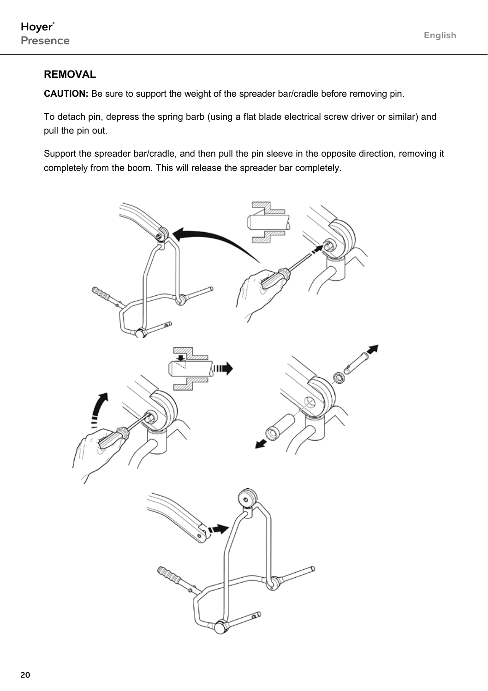### **Removal**

**CAUTION:** Be sure to support the weight of the spreader bar/cradle before removing pin.

To detach pin, depress the spring barb (using a flat blade electrical screw driver or similar) and pull the pin out.

Support the spreader bar/cradle, and then pull the pin sleeve in the opposite direction, removing it completely from the boom. This will release the spreader bar completely.

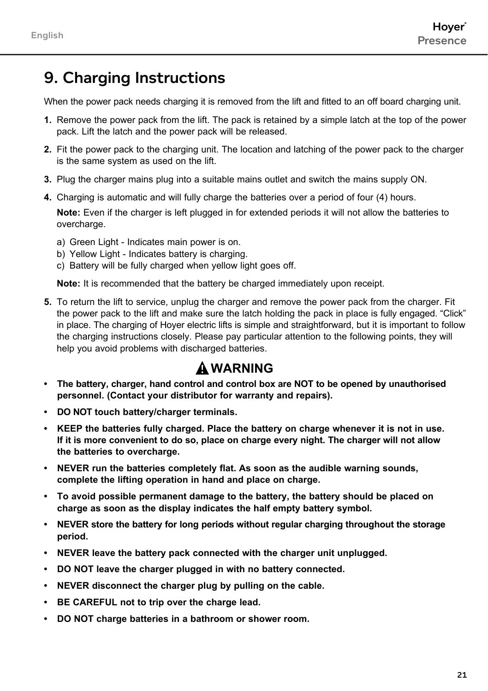# 9. Charging Instructions

When the power pack needs charging it is removed from the lift and fitted to an off board charging unit.

- **1.** Remove the power pack from the lift. The pack is retained by a simple latch at the top of the power pack. Lift the latch and the power pack will be released.
- **2.** Fit the power pack to the charging unit. The location and latching of the power pack to the charger is the same system as used on the lift.
- **3.** Plug the charger mains plug into a suitable mains outlet and switch the mains supply ON.
- **4.** Charging is automatic and will fully charge the batteries over a period of four (4) hours.

**Note:** Even if the charger is left plugged in for extended periods it will not allow the batteries to overcharge.

- a) Green Light Indicates main power is on.
- b) Yellow Light Indicates battery is charging.
- c) Battery will be fully charged when yellow light goes off.

**Note:** It is recommended that the battery be charged immediately upon receipt.

**5.** To return the lift to service, unplug the charger and remove the power pack from the charger. Fit the power pack to the lift and make sure the latch holding the pack in place is fully engaged. "Click" in place. The charging of Hoyer electric lifts is simple and straightforward, but it is important to follow the charging instructions closely. Please pay particular attention to the following points, they will help you avoid problems with discharged batteries.

# **WARNING**

- **• The battery, charger, hand control and control box are NOT to be opened by unauthorised personnel. (Contact your distributor for warranty and repairs).**
- **• DO NOT touch battery/charger terminals.**
- **• KEEP the batteries fully charged. Place the battery on charge whenever it is not in use. If it is more convenient to do so, place on charge every night. The charger will not allow the batteries to overcharge.**
- **NEVER run the batteries completely flat. As soon as the audible warning sounds, complete the lifting operation in hand and place on charge.**
- **• To avoid possible permanent damage to the battery, the battery should be placed on charge as soon as the display indicates the half empty battery symbol.**
- **NEVER store the battery for long periods without regular charging throughout the storage period.**
- **NEVER leave the battery pack connected with the charger unit unplugged.**
- **• Do NOT leave the charger plugged in with no battery connected.**
- **NEVER disconnect the charger plug by pulling on the cable.**
- **BE CAREFUL not to trip over the charge lead.**
- **• Do not charge batteries in a bathroom or shower room.**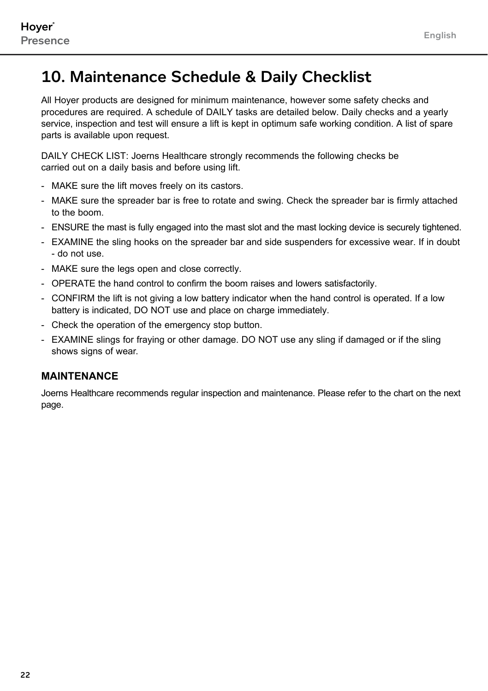# 10. Maintenance Schedule & Daily Checklist

All Hoyer products are designed for minimum maintenance, however some safety checks and procedures are required. A schedule of DAILY tasks are detailed below. Daily checks and a yearly service, inspection and test will ensure a lift is kept in optimum safe working condition. A list of spare parts is available upon request.

DAILY CHECK LIST: Joerns Healthcare strongly recommends the following checks be carried out on a daily basis and before using lift.

- MAKE sure the lift moves freely on its castors.
- MAKE sure the spreader bar is free to rotate and swing. Check the spreader bar is firmly attached to the boom.
- ENSURE the mast is fully engaged into the mast slot and the mast locking device is securely tightened.
- EXAMINE the sling hooks on the spreader bar and side suspenders for excessive wear. If in doubt - do not use.
- MAKE sure the legs open and close correctly.
- OPERATE the hand control to confirm the boom raises and lowers satisfactorily.
- CONFIRM the lift is not giving a low battery indicator when the hand control is operated. If a low battery is indicated, DO NOT use and place on charge immediately.
- Check the operation of the emergency stop button.
- EXAMINE slings for fraying or other damage. DO NOT use any sling if damaged or if the sling shows signs of wear.

#### **MAINTENANCE**

Joerns Healthcare recommends regular inspection and maintenance. Please refer to the chart on the next page.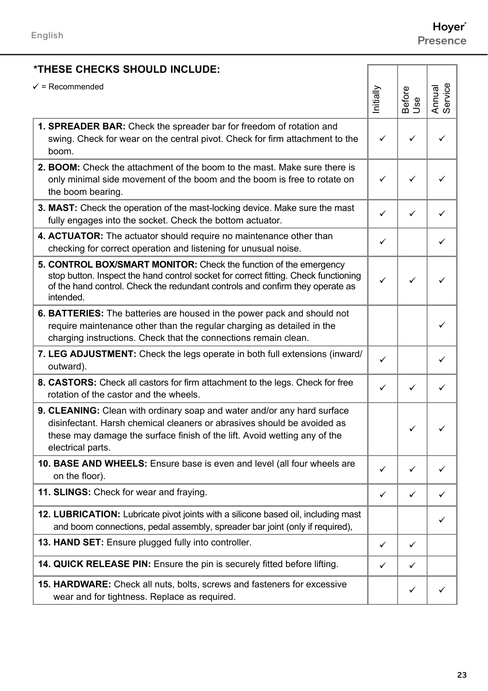Presence

#### **\*These checks should include:** nitially Before Use Annual Service **1. Spreader Bar:** Check the spreader bar for freedom of rotation and swing. Check for wear on the central pivot. Check for firm attachment to the boom.  $\checkmark$   $\checkmark$   $\checkmark$   $\checkmark$ **2. Boom:** Check the attachment of the boom to the mast. Make sure there is only minimal side movement of the boom and the boom is free to rotate on the boom bearing.  $\checkmark$   $\checkmark$   $\checkmark$   $\checkmark$ **3. Mast:** Check the operation of the mast-locking device. Make sure the mast fully engages into the socket. Check the bottom actuator.  $\checkmark$   $\checkmark$   $\checkmark$   $\checkmark$ **4. ACTUATOR:** The actuator should require no maintenance other than checking for correct operation and listening for unusual noise.  $\checkmark$  |  $\checkmark$ **5. CONTROL BOX/Smart Monitor:** Check the function of the emergency stop button. Inspect the hand control socket for correct fitting. Check functioning of the hand control. Check the redundant controls and confirm they operate as intended.  $\checkmark$   $\checkmark$   $\checkmark$   $\checkmark$ **6. Batteries:** The batteries are housed in the power pack and should not require maintenance other than the regular charging as detailed in the charging instructions. Check that the connections remain clean. ü **7. Leg Adjustment:** Check the legs operate in both full extensions (inward/ outward).  $\checkmark$  |  $\checkmark$ **8. Castors:** Check all castors for firm attachment to the legs. Check for free rotation of the castor and the wheels.  $\checkmark$   $\checkmark$   $\checkmark$   $\checkmark$ **9. CLEANING:** Clean with ordinary soap and water and/or any hard surface disinfectant. Harsh chemical cleaners or abrasives should be avoided as these may damage the surface finish of the lift. Avoid wetting any of the electrical parts.  $\checkmark$   $\checkmark$ **10. Base and wheels:** Ensure base is even and level (all four wheels are on the floor).  $\checkmark$   $\checkmark$   $\checkmark$   $\checkmark$ **11. SLINGS:** Check for wear and fraying.  $\begin{array}{c|c|c|c|c} & & & \downarrow & & \downarrow & & \downarrow & \downarrow & \downarrow \end{array}$ **12. LUBRICATION:** Lubricate pivot joints with a silicone based oil, including mast and boom connections, pedal assembly, spreader bar joint (only if required), ü **13. HAND SET:** Ensure plugged fully into controller.  $\begin{array}{ccc} \hline \end{array}$ **14. QUICK RELEASE PIN:** Ensure the pin is securely fitted before lifting.  $\mathbf{v} \mathbf{v} \mathbf{v} \mathbf{v}$ **15. HARDWARE:** Check all nuts, bolts, screws and fasteners for excessive wear and for tightness. Replace as required.  $\checkmark$   $\checkmark$  $V = Recommended$

Hoyer®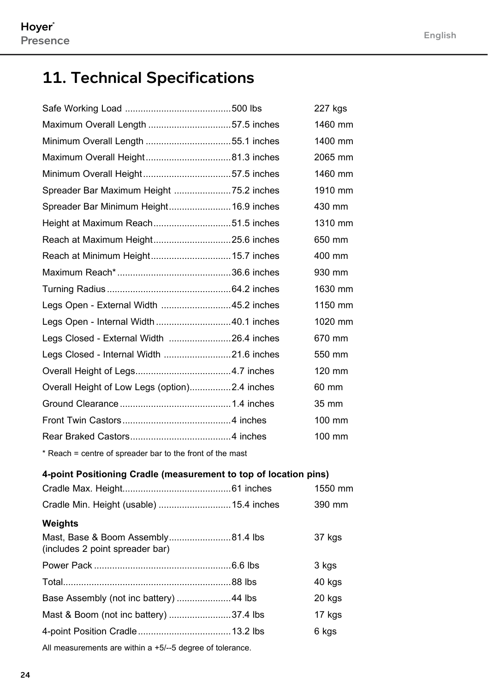# 11. Technical Specifications

|                                                                  | 227 kgs |
|------------------------------------------------------------------|---------|
| Maximum Overall Length 57.5 inches                               | 1460 mm |
|                                                                  | 1400 mm |
|                                                                  | 2065 mm |
|                                                                  | 1460 mm |
|                                                                  | 1910 mm |
| Spreader Bar Minimum Height 16.9 inches                          | 430 mm  |
|                                                                  | 1310 mm |
|                                                                  | 650 mm  |
|                                                                  | 400 mm  |
|                                                                  | 930 mm  |
|                                                                  | 1630 mm |
| Legs Open - External Width  45.2 inches                          | 1150 mm |
| Legs Open - Internal Width 40.1 inches                           | 1020 mm |
| Legs Closed - External Width 26.4 inches                         | 670 mm  |
|                                                                  | 550 mm  |
|                                                                  | 120 mm  |
| Overall Height of Low Legs (option)2.4 inches                    | 60 mm   |
|                                                                  | 35 mm   |
|                                                                  | 100 mm  |
|                                                                  | 100 mm  |
| * Reach = centre of spreader bar to the front of the mast        |         |
| 4-point Positioning Cradle (measurement to top of location pins) |         |
|                                                                  | 1550 mm |
| Cradle Min. Height (usable)  15.4 inches                         | 390 mm  |
| Weights                                                          |         |
| (includes 2 point spreader bar)                                  | 37 kgs  |

(includes 2 point spreader bar)

|                                                           |  | 3 kgs  |
|-----------------------------------------------------------|--|--------|
|                                                           |  | 40 kgs |
|                                                           |  | 20 kgs |
|                                                           |  | 17 kgs |
|                                                           |  | 6 kgs  |
| All measurements are within a +5/--5 degree of tolerance. |  |        |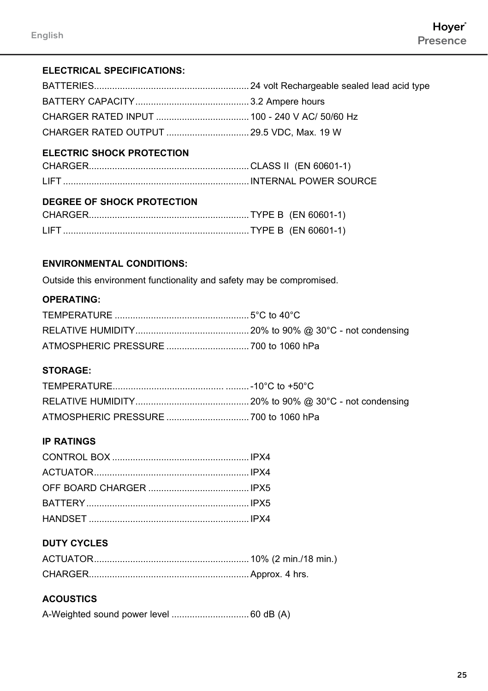#### **ELECTRICAL SPECIFICATIONS:**

#### **Electric Shock Protection**

#### **Degree of Shock Protection**

#### **ENVIRONMENTAL CONDITIONS:**

Outside this environment functionality and safety may be compromised.

#### **Operating:**

#### **Storage:**

#### **IP RATINGS**

### **DUTY CYCLES**

#### **ACOUSTICS**

A-Weighted sound power level .............................. 60 dB (A)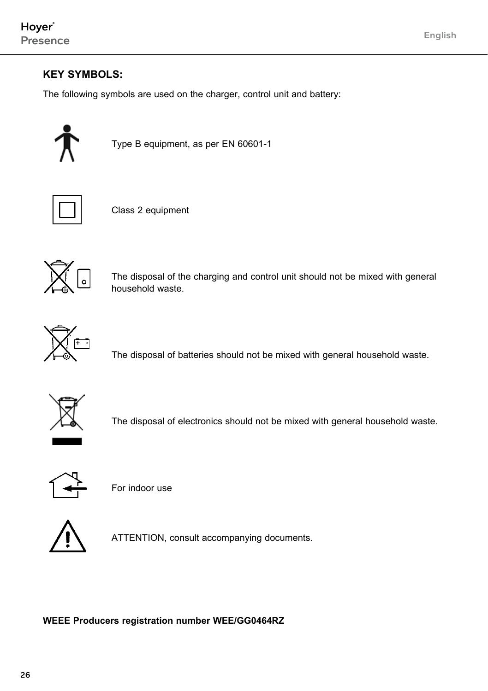### **KEY SYMBOLS:**

The following symbols are used on the charger, control unit and battery:



Type B equipment, as per EN 60601-1



Class 2 equipment



The disposal of the charging and control unit should not be mixed with general household waste.



The disposal of batteries should not be mixed with general household waste.



The disposal of electronics should not be mixed with general household waste.



For indoor use



ATTENTION, consult accompanying documents.

#### **WEEE Producers registration number WEE/GG0464RZ**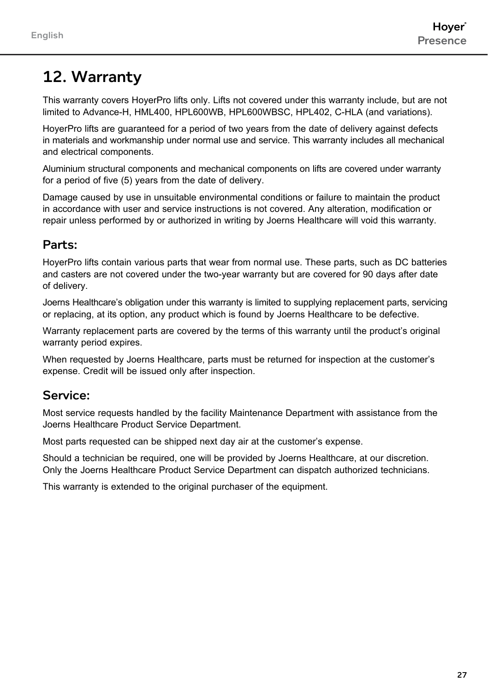# 12. Warranty

This warranty covers HoyerPro lifts only. Lifts not covered under this warranty include, but are not limited to Advance-H, HML400, HPL600WB, HPL600WBSC, HPL402, C-HLA (and variations).

HoyerPro lifts are guaranteed for a period of two years from the date of delivery against defects in materials and workmanship under normal use and service. This warranty includes all mechanical and electrical components.

Aluminium structural components and mechanical components on lifts are covered under warranty for a period of five (5) years from the date of delivery.

Damage caused by use in unsuitable environmental conditions or failure to maintain the product in accordance with user and service instructions is not covered. Any alteration, modification or repair unless performed by or authorized in writing by Joerns Healthcare will void this warranty.

### Parts:

HoyerPro lifts contain various parts that wear from normal use. These parts, such as DC batteries and casters are not covered under the two-year warranty but are covered for 90 days after date of delivery.

Joerns Healthcare's obligation under this warranty is limited to supplying replacement parts, servicing or replacing, at its option, any product which is found by Joerns Healthcare to be defective.

Warranty replacement parts are covered by the terms of this warranty until the product's original warranty period expires.

When requested by Joerns Healthcare, parts must be returned for inspection at the customer's expense. Credit will be issued only after inspection.

### Service:

Most service requests handled by the facility Maintenance Department with assistance from the Joerns Healthcare Product Service Department.

Most parts requested can be shipped next day air at the customer's expense.

Should a technician be required, one will be provided by Joerns Healthcare, at our discretion. Only the Joerns Healthcare Product Service Department can dispatch authorized technicians.

This warranty is extended to the original purchaser of the equipment.